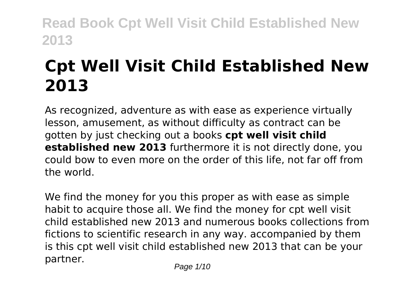# **Cpt Well Visit Child Established New 2013**

As recognized, adventure as with ease as experience virtually lesson, amusement, as without difficulty as contract can be gotten by just checking out a books **cpt well visit child established new 2013** furthermore it is not directly done, you could bow to even more on the order of this life, not far off from the world.

We find the money for you this proper as with ease as simple habit to acquire those all. We find the money for cpt well visit child established new 2013 and numerous books collections from fictions to scientific research in any way. accompanied by them is this cpt well visit child established new 2013 that can be your partner.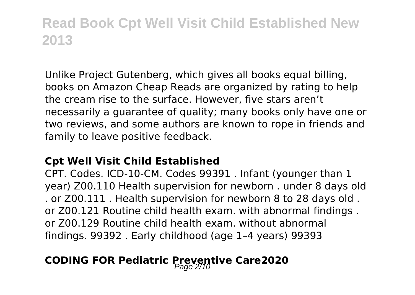Unlike Project Gutenberg, which gives all books equal billing, books on Amazon Cheap Reads are organized by rating to help the cream rise to the surface. However, five stars aren't necessarily a guarantee of quality; many books only have one or two reviews, and some authors are known to rope in friends and family to leave positive feedback.

### **Cpt Well Visit Child Established**

CPT. Codes. ICD-10-CM. Codes 99391 . Infant (younger than 1 year) Z00.110 Health supervision for newborn . under 8 days old . or Z00.111 . Health supervision for newborn 8 to 28 days old . or Z00.121 Routine child health exam. with abnormal findings . or Z00.129 Routine child health exam. without abnormal findings. 99392 . Early childhood (age 1–4 years) 99393

## **CODING FOR Pediatric Preventive Care2020**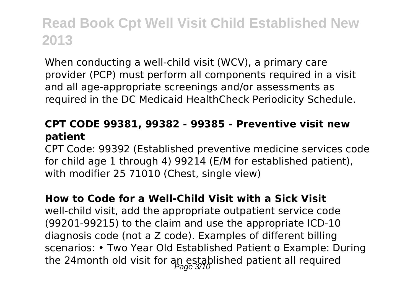When conducting a well-child visit (WCV), a primary care provider (PCP) must perform all components required in a visit and all age-appropriate screenings and/or assessments as required in the DC Medicaid HealthCheck Periodicity Schedule.

### **CPT CODE 99381, 99382 - 99385 - Preventive visit new patient**

CPT Code: 99392 (Established preventive medicine services code for child age 1 through 4) 99214 (E/M for established patient), with modifier 25 71010 (Chest, single view)

#### **How to Code for a Well-Child Visit with a Sick Visit**

well-child visit, add the appropriate outpatient service code (99201-99215) to the claim and use the appropriate ICD-10 diagnosis code (not a Z code). Examples of different billing scenarios: • Two Year Old Established Patient o Example: During the 24month old visit for an established patient all required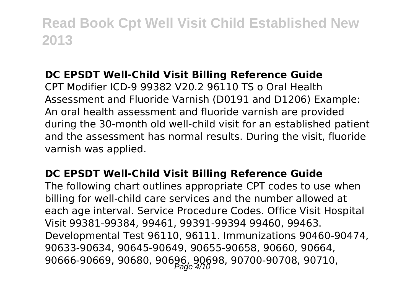## **DC EPSDT Well-Child Visit Billing Reference Guide**

CPT Modifier ICD-9 99382 V20.2 96110 TS o Oral Health Assessment and Fluoride Varnish (D0191 and D1206) Example: An oral health assessment and fluoride varnish are provided during the 30-month old well-child visit for an established patient and the assessment has normal results. During the visit, fluoride varnish was applied.

### **DC EPSDT Well-Child Visit Billing Reference Guide**

The following chart outlines appropriate CPT codes to use when billing for well-child care services and the number allowed at each age interval. Service Procedure Codes. Office Visit Hospital Visit 99381-99384, 99461, 99391-99394 99460, 99463. Developmental Test 96110, 96111. Immunizations 90460-90474, 90633-90634, 90645-90649, 90655-90658, 90660, 90664, 90666-90669, 90680, 90696, 90698, 90700-90708, 90710,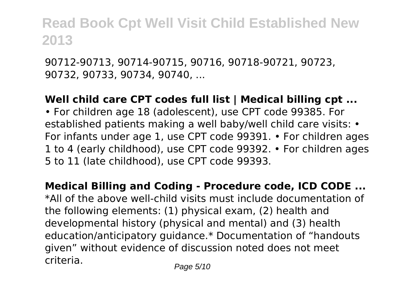90712-90713, 90714-90715, 90716, 90718-90721, 90723, 90732, 90733, 90734, 90740, ...

### **Well child care CPT codes full list | Medical billing cpt ...**

• For children age 18 (adolescent), use CPT code 99385. For established patients making a well baby/well child care visits: • For infants under age 1, use CPT code 99391. • For children ages 1 to 4 (early childhood), use CPT code 99392. • For children ages 5 to 11 (late childhood), use CPT code 99393.

**Medical Billing and Coding - Procedure code, ICD CODE ...** \*All of the above well-child visits must include documentation of the following elements: (1) physical exam, (2) health and developmental history (physical and mental) and (3) health education/anticipatory guidance.\* Documentation of "handouts given" without evidence of discussion noted does not meet criteria. Page 5/10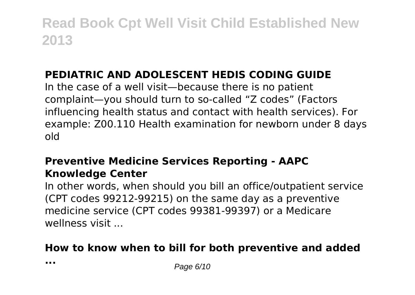## **PEDIATRIC AND ADOLESCENT HEDIS CODING GUIDE**

In the case of a well visit—because there is no patient complaint—you should turn to so-called "Z codes" (Factors influencing health status and contact with health services). For example: Z00.110 Health examination for newborn under 8 days old

## **Preventive Medicine Services Reporting - AAPC Knowledge Center**

In other words, when should you bill an office/outpatient service (CPT codes 99212-99215) on the same day as a preventive medicine service (CPT codes 99381-99397) or a Medicare wellness visit ...

## **How to know when to bill for both preventive and added**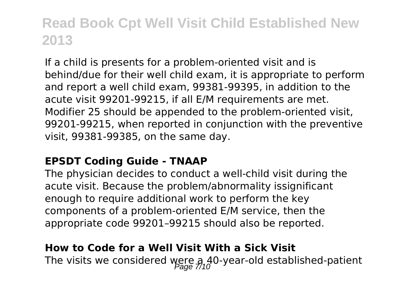If a child is presents for a problem-oriented visit and is behind/due for their well child exam, it is appropriate to perform and report a well child exam, 99381-99395, in addition to the acute visit 99201-99215, if all E/M requirements are met. Modifier 25 should be appended to the problem-oriented visit, 99201-99215, when reported in conjunction with the preventive visit, 99381-99385, on the same day.

#### **EPSDT Coding Guide - TNAAP**

The physician decides to conduct a well-child visit during the acute visit. Because the problem/abnormality issignificant enough to require additional work to perform the key components of a problem-oriented E/M service, then the appropriate code 99201–99215 should also be reported.

#### **How to Code for a Well Visit With a Sick Visit**

The visits we considered were a 40-year-old established-patient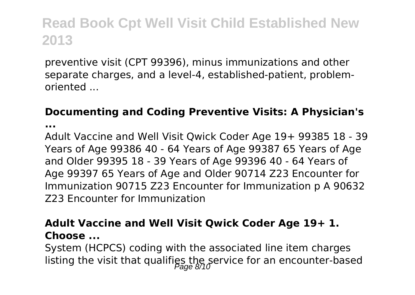preventive visit (CPT 99396), minus immunizations and other separate charges, and a level-4, established-patient, problemoriented ...

### **Documenting and Coding Preventive Visits: A Physician's**

**...**

Adult Vaccine and Well Visit Qwick Coder Age 19+ 99385 18 - 39 Years of Age 99386 40 - 64 Years of Age 99387 65 Years of Age and Older 99395 18 - 39 Years of Age 99396 40 - 64 Years of Age 99397 65 Years of Age and Older 90714 Z23 Encounter for Immunization 90715 Z23 Encounter for Immunization p A 90632 Z23 Encounter for Immunization

### **Adult Vaccine and Well Visit Qwick Coder Age 19+ 1. Choose ...**

System (HCPCS) coding with the associated line item charges listing the visit that qualifies the service for an encounter-based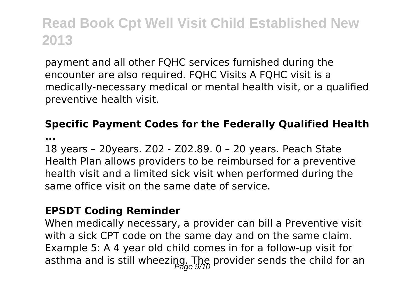payment and all other FQHC services furnished during the encounter are also required. FQHC Visits A FQHC visit is a medically-necessary medical or mental health visit, or a qualified preventive health visit.

### **Specific Payment Codes for the Federally Qualified Health**

**...**

18 years – 20years. Z02 - Z02.89. 0 – 20 years. Peach State Health Plan allows providers to be reimbursed for a preventive health visit and a limited sick visit when performed during the same office visit on the same date of service.

#### **EPSDT Coding Reminder**

When medically necessary, a provider can bill a Preventive visit with a sick CPT code on the same day and on the same claim. Example 5: A 4 year old child comes in for a follow-up visit for asthma and is still wheezing. The provider sends the child for an